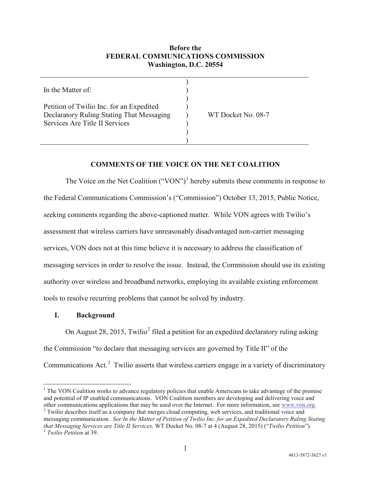## **Before the FEDERAL COMMUNICATIONS COMMISSION Washington, D.C. 20554**

| In the Matter of:                                                                                                       |                    |
|-------------------------------------------------------------------------------------------------------------------------|--------------------|
| Petition of Twilio Inc. for an Expedited<br>Declaratory Ruling Stating That Messaging<br>Services Are Title II Services | WT Docket No. 08-7 |
|                                                                                                                         |                    |

## **COMMENTS OF THE VOICE ON THE NET COALITION**

The Voice on the Net Coalition  $("VON")^1$  $("VON")^1$  hereby submits these comments in response to the Federal Communications Commission's ("Commission") October 13, 2015, Public Notice, seeking comments regarding the above-captioned matter. While VON agrees with Twilio's assessment that wireless carriers have unreasonably disadvantaged non-carrier messaging services, VON does not at this time believe it is necessary to address the classification of messaging services in order to resolve the issue. Instead, the Commission should use its existing authority over wireless and broadband networks, employing its available existing enforcement tools to resolve recurring problems that cannot be solved by industry.

#### **I. Background**

On August [2](#page-0-1)8, 2015, Twilio<sup>2</sup> filed a petition for an expedited declaratory ruling asking the Commission "to declare that messaging services are governed by Title II" of the Communications Act. $3$  Twilio asserts that wireless carriers engage in a variety of discriminatory

<span id="page-0-0"></span><sup>&</sup>lt;sup>1</sup> The VON Coalition works to advance regulatory policies that enable Americans to take advantage of the promise and potential of IP enabled communications. VON Coalition members are developing and delivering voice and other communications applications that may be used over the Internet. For more information, see www.von.org.

<span id="page-0-2"></span><span id="page-0-1"></span> $2$  Twilio describes itself as a company that merges cloud computing, web services, and traditional voice and messaging communication. *See In the Matter of Petition of Twilio Inc. for an Expedited Declaratory Ruling Stating that Messaging Services are Title II Services,* WT Docket No. 08-7 at 4 (August 28, 2015) ("*Twilio Petition*"). <sup>3</sup> *Twilio Petition* at 39.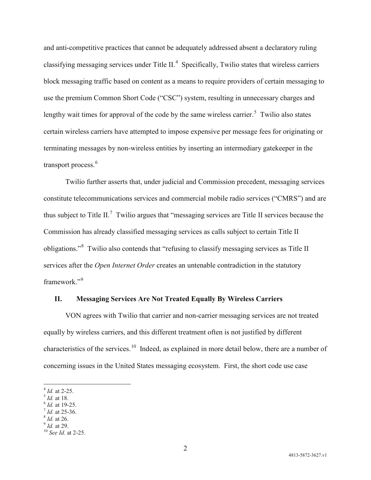and anti-competitive practices that cannot be adequately addressed absent a declaratory ruling classifying messaging services under Title  $II.4$  $II.4$  Specifically, Twilio states that wireless carriers block messaging traffic based on content as a means to require providers of certain messaging to use the premium Common Short Code ("CSC") system, resulting in unnecessary charges and lengthy wait times for approval of the code by the same wireless carrier.<sup>[5](#page-1-1)</sup> Twilio also states certain wireless carriers have attempted to impose expensive per message fees for originating or terminating messages by non-wireless entities by inserting an intermediary gatekeeper in the transport process.<sup>[6](#page-1-2)</sup>

Twilio further asserts that, under judicial and Commission precedent, messaging services constitute telecommunications services and commercial mobile radio services ("CMRS") and are thus subject to Title II.<sup>[7](#page-1-3)</sup> Twilio argues that "messaging services are Title II services because the Commission has already classified messaging services as calls subject to certain Title II obligations."<sup>[8](#page-1-4)</sup> Twilio also contends that "refusing to classify messaging services as Title II services after the *Open Internet Order* creates an untenable contradiction in the statutory framework."<sup>[9](#page-1-5)</sup>

## **II. Messaging Services Are Not Treated Equally By Wireless Carriers**

VON agrees with Twilio that carrier and non-carrier messaging services are not treated equally by wireless carriers, and this different treatment often is not justified by different characteristics of the services.<sup>10</sup> Indeed, as explained in more detail below, there are a number of concerning issues in the United States messaging ecosystem. First, the short code use case

<span id="page-1-6"></span><span id="page-1-5"></span>

<span id="page-1-1"></span>

<span id="page-1-2"></span>

<span id="page-1-4"></span><span id="page-1-3"></span>

<span id="page-1-0"></span><sup>4</sup> *Id.* at 2-25.<br><sup>5</sup> *Id.* at 18.<br><sup>6</sup> *Id.* at 19-25.<br><sup>8</sup> *Id.* at 26.<br><sup>9</sup> *Id.* at 29.<br><sup>10</sup> *See Id.* at 2-25.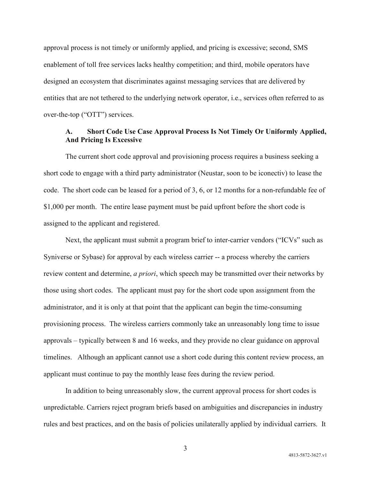approval process is not timely or uniformly applied, and pricing is excessive; second, SMS enablement of toll free services lacks healthy competition; and third, mobile operators have designed an ecosystem that discriminates against messaging services that are delivered by entities that are not tethered to the underlying network operator, i.e., services often referred to as over-the-top ("OTT") services.

## **A. Short Code Use Case Approval Process Is Not Timely Or Uniformly Applied, And Pricing Is Excessive**

The current short code approval and provisioning process requires a business seeking a short code to engage with a third party administrator (Neustar, soon to be iconectiv) to lease the code. The short code can be leased for a period of 3, 6, or 12 months for a non-refundable fee of \$1,000 per month. The entire lease payment must be paid upfront before the short code is assigned to the applicant and registered.

Next, the applicant must submit a program brief to inter-carrier vendors ("ICVs" such as Syniverse or Sybase) for approval by each wireless carrier -- a process whereby the carriers review content and determine, *a priori*, which speech may be transmitted over their networks by those using short codes. The applicant must pay for the short code upon assignment from the administrator, and it is only at that point that the applicant can begin the time-consuming provisioning process. The wireless carriers commonly take an unreasonably long time to issue approvals – typically between 8 and 16 weeks, and they provide no clear guidance on approval timelines. Although an applicant cannot use a short code during this content review process, an applicant must continue to pay the monthly lease fees during the review period.

In addition to being unreasonably slow, the current approval process for short codes is unpredictable. Carriers reject program briefs based on ambiguities and discrepancies in industry rules and best practices, and on the basis of policies unilaterally applied by individual carriers. It

3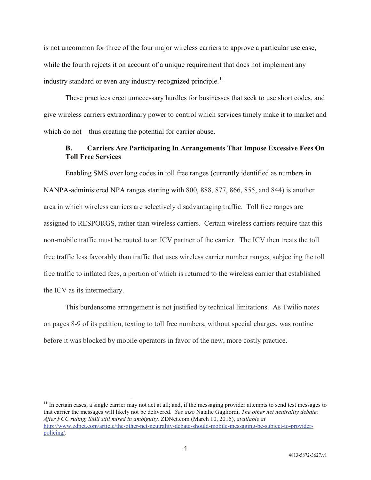is not uncommon for three of the four major wireless carriers to approve a particular use case, while the fourth rejects it on account of a unique requirement that does not implement any industry standard or even any industry-recognized principle.<sup>[11](#page-3-0)</sup>

These practices erect unnecessary hurdles for businesses that seek to use short codes, and give wireless carriers extraordinary power to control which services timely make it to market and which do not—thus creating the potential for carrier abuse.

# **B. Carriers Are Participating In Arrangements That Impose Excessive Fees On Toll Free Services**

Enabling SMS over long codes in toll free ranges (currently identified as numbers in NANPA-administered NPA ranges starting with 800, 888, 877, 866, 855, and 844) is another area in which wireless carriers are selectively disadvantaging traffic. Toll free ranges are assigned to RESPORGS, rather than wireless carriers. Certain wireless carriers require that this non-mobile traffic must be routed to an ICV partner of the carrier. The ICV then treats the toll free traffic less favorably than traffic that uses wireless carrier number ranges, subjecting the toll free traffic to inflated fees, a portion of which is returned to the wireless carrier that established the ICV as its intermediary.

This burdensome arrangement is not justified by technical limitations. As Twilio notes on pages 8-9 of its petition, texting to toll free numbers, without special charges, was routine before it was blocked by mobile operators in favor of the new, more costly practice.

<span id="page-3-0"></span> $11$  In certain cases, a single carrier may not act at all; and, if the messaging provider attempts to send test messages to that carrier the messages will likely not be delivered. *See also* Natalie Gagliordi, *The other net neutrality debate: After FCC ruling, SMS still mired in ambiguity,* ZDNet.com (March 10, 2015), *available at* [http://www.zdnet.com/article/the-other-net-neutrality-debate-should-mobile-messaging-be-subject-to-provider](http://www.zdnet.com/article/the-other-net-neutrality-debate-should-mobile-messaging-be-subject-to-provider-policing/)[policing/.](http://www.zdnet.com/article/the-other-net-neutrality-debate-should-mobile-messaging-be-subject-to-provider-policing/)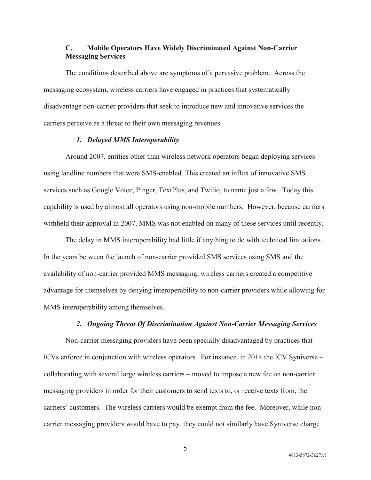# **C. Mobile Operators Have Widely Discriminated Against Non-Carrier Messaging Services**

The conditions described above are symptoms of a pervasive problem. Across the messaging ecosystem, wireless carriers have engaged in practices that systematically disadvantage non-carrier providers that seek to introduce new and innovative services the carriers perceive as a threat to their own messaging revenues.

### *1. Delayed MMS Interoperability*

Around 2007, entities other than wireless network operators began deploying services using landline numbers that were SMS-enabled. This created an influx of innovative SMS services such as Google Voice, Pinger, TextPlus, and Twilio, to name just a few. Today this capability is used by almost all operators using non-mobile numbers. However, because carriers withheld their approval in 2007, MMS was not enabled on many of these services until recently.

The delay in MMS interoperability had little if anything to do with technical limitations. In the years between the launch of non-carrier provided SMS services using SMS and the availability of non-carrier provided MMS messaging, wireless carriers created a competitive advantage for themselves by denying interoperability to non-carrier providers while allowing for MMS interoperability among themselves.

### *2. Ongoing Threat Of Discrimination Against Non-Carrier Messaging Services*

Non-carrier messaging providers have been specially disadvantaged by practices that ICVs enforce in conjunction with wireless operators. For instance, in 2014 the ICV Syniverse – collaborating with several large wireless carriers – moved to impose a new fee on non-carrier messaging providers in order for their customers to send texts to, or receive texts from, the carriers' customers. The wireless carriers would be exempt from the fee. Moreover, while noncarrier messaging providers would have to pay, they could not similarly have Syniverse charge

5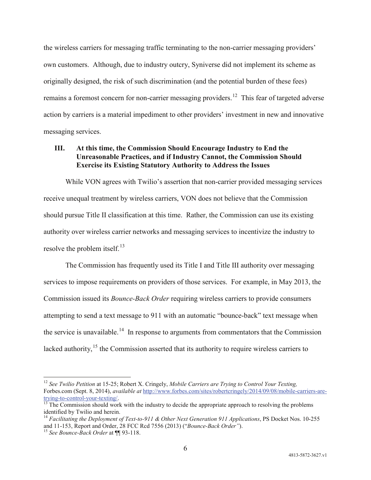the wireless carriers for messaging traffic terminating to the non-carrier messaging providers' own customers. Although, due to industry outcry, Syniverse did not implement its scheme as originally designed, the risk of such discrimination (and the potential burden of these fees) remains a foremost concern for non-carrier messaging providers.<sup>12</sup> This fear of targeted adverse action by carriers is a material impediment to other providers' investment in new and innovative messaging services.

## **III. At this time, the Commission Should Encourage Industry to End the Unreasonable Practices, and if Industry Cannot, the Commission Should Exercise its Existing Statutory Authority to Address the Issues**

While VON agrees with Twilio's assertion that non-carrier provided messaging services receive unequal treatment by wireless carriers, VON does not believe that the Commission should pursue Title II classification at this time. Rather, the Commission can use its existing authority over wireless carrier networks and messaging services to incentivize the industry to resolve the problem itself. $^{13}$  $^{13}$  $^{13}$ 

The Commission has frequently used its Title I and Title III authority over messaging services to impose requirements on providers of those services. For example, in May 2013, the Commission issued its *Bounce-Back Order* requiring wireless carriers to provide consumers attempting to send a text message to 911 with an automatic "bounce-back" text message when the service is unavailable.<sup>14</sup> In response to arguments from commentators that the Commission lacked authority,<sup>[15](#page-5-3)</sup> the Commission asserted that its authority to require wireless carriers to

<span id="page-5-0"></span> <sup>12</sup> *See Twilio Petition* at 15-25; Robert X. Cringely, *Mobile Carriers are Trying to Control Your Texting,* Forbes.com (Sept. 8, 2014), *available at* [http://www.forbes.com/sites/robertcringely/2014/09/08/mobile-carriers-are](http://www.forbes.com/sites/robertcringely/2014/09/08/mobile-carriers-are-trying-to-control-your-texting/)[trying-to-control-your-texting/.](http://www.forbes.com/sites/robertcringely/2014/09/08/mobile-carriers-are-trying-to-control-your-texting/)<br><sup>[13](http://www.forbes.com/sites/robertcringely/2014/09/08/mobile-carriers-are-trying-to-control-your-texting/)</sup> The Commission should work with the industry to decide the appropriate approach to resolving the problems

<span id="page-5-1"></span>identified by Twilio and herein.

<span id="page-5-2"></span><sup>&</sup>lt;sup>14</sup> Facilitating the Deployment of Text-to-911 & Other Next Generation 911 Applications, PS Docket Nos. 10-255 and 11-153, Report and Order, 28 FCC Rcd 7556 (2013) ("*Bounce-Back Order"*). <sup>15</sup> *See Bounce-Back Order* at ¶¶ 93-118.

<span id="page-5-3"></span>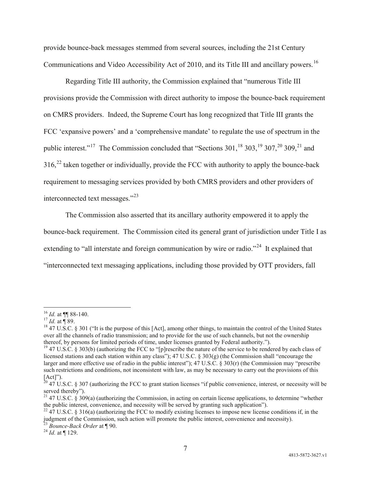provide bounce-back messages stemmed from several sources, including the 21st Century Communications and Video Accessibility Act of 2010, and its Title III and ancillary powers.<sup>16</sup>

Regarding Title III authority, the Commission explained that "numerous Title III provisions provide the Commission with direct authority to impose the bounce-back requirement on CMRS providers. Indeed, the Supreme Court has long recognized that Title III grants the FCC 'expansive powers' and a 'comprehensive mandate' to regulate the use of spectrum in the public interest."<sup>[17](#page-6-1)</sup> The Commission concluded that "Sections  $301$ , <sup>[18](#page-6-2)</sup>,  $303$ , <sup>[19](#page-6-3)</sup>,  $307$ , <sup>[20](#page-6-4)</sup>,  $309$ , <sup>[21](#page-6-5)</sup> and  $316<sup>22</sup>$  $316<sup>22</sup>$  $316<sup>22</sup>$  taken together or individually, provide the FCC with authority to apply the bounce-back requirement to messaging services provided by both CMRS providers and other providers of interconnected text messages."[23](#page-6-7)

The Commission also asserted that its ancillary authority empowered it to apply the bounce-back requirement. The Commission cited its general grant of jurisdiction under Title I as extending to "all interstate and foreign communication by wire or radio."<sup>24</sup> It explained that "interconnected text messaging applications, including those provided by OTT providers, fall

<span id="page-6-2"></span>

<span id="page-6-1"></span><span id="page-6-0"></span><sup>&</sup>lt;sup>16</sup> *Id.* at ¶ 88-140.<br><sup>17</sup> *Id.* at ¶ 89.<br><sup>18</sup> 47 U.S.C. § 301 ("It is the purpose of this [Act], among other things, to maintain the control of the United States over all the channels of radio transmission; and to provide for the use of such channels, but not the ownership thereof, by persons for limited periods of time, under licenses granted by Federal authority.").

<span id="page-6-3"></span><sup>&</sup>lt;sup>19</sup> 47 U.S.C. § 303(b) (authorizing the FCC to "[p]rescribe the nature of the service to be rendered by each class of licensed stations and each station within any class"); 47 U.S.C. § 303(g) (the Commission shall "encourage the larger and more effective use of radio in the public interest"); 47 U.S.C. § 303(r) (the Commission may "prescribe such restrictions and conditions, not inconsistent with law, as may be necessary to carry out the provisions of this [Act]").

<span id="page-6-4"></span> $20\,47$  U.S.C. § 307 (authorizing the FCC to grant station licenses "if public convenience, interest, or necessity will be

<span id="page-6-5"></span>served thereby").<br><sup>21</sup> 47 U.S.C. § 309(a) (authorizing the Commission, in acting on certain license applications, to determine "whether<br>the public interest, convenience, and necessity will be served by granting such appli

<span id="page-6-6"></span><sup>&</sup>lt;sup>22</sup> 47 U.S.C. § 316(a) (authorizing the FCC to modify existing licenses to impose new license conditions if, in the judgment of the Commission, such action will promote the public interest, convenience and necessity).<br><sup>23</sup> *Bounce-Back Order* at ¶ 90.<br><sup>24</sup> *Id.* at ¶ 129.

<span id="page-6-7"></span>

<span id="page-6-8"></span>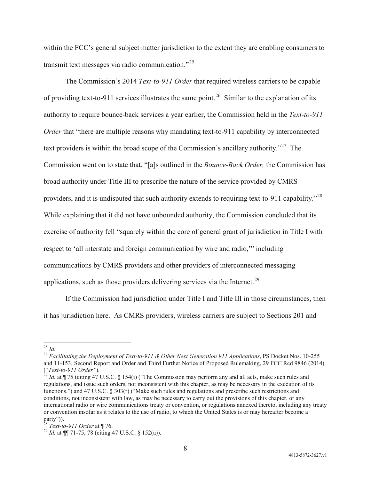within the FCC's general subject matter jurisdiction to the extent they are enabling consumers to transmit text messages via radio communication."[25](#page-7-0) 

The Commission's 2014 *Text-to-911 Order* that required wireless carriers to be capable of providing text-to-911 services illustrates the same point.<sup>26</sup> Similar to the explanation of its authority to require bounce-back services a year earlier, the Commission held in the *Text-to-911 Order* that "there are multiple reasons why mandating text-to-911 capability by interconnected text providers is within the broad scope of the Commission's ancillary authority."<sup>27</sup> The Commission went on to state that, "[a]s outlined in the *Bounce-Back Order,* the Commission has broad authority under Title III to prescribe the nature of the service provided by CMRS providers, and it is undisputed that such authority extends to requiring text-to-911 capability."[28](#page-7-3)  While explaining that it did not have unbounded authority, the Commission concluded that its exercise of authority fell "squarely within the core of general grant of jurisdiction in Title I with respect to 'all interstate and foreign communication by wire and radio,'" including communications by CMRS providers and other providers of interconnected messaging applications, such as those providers delivering services via the Internet.<sup>[29](#page-7-4)</sup>

If the Commission had jurisdiction under Title I and Title III in those circumstances, then it has jurisdiction here. As CMRS providers, wireless carriers are subject to Sections 201 and

<span id="page-7-1"></span><span id="page-7-0"></span><sup>25</sup> *Id.* <sup>26</sup> *Facilitating the Deployment of Text-to-911 & Other Next Generation 911 Applications*, PS Docket Nos. 10-255 and 11-153, Second Report and Order and Third Further Notice of Proposed Rulemaking, 29 FCC Rcd 9846 (2014) ("*Text-to-911 Order"*). <sup>27</sup> *Id.* at ¶ 75 (citing 47 U.S.C. § 154(i) ("The Commission may perform any and all acts, make such rules and

<span id="page-7-2"></span>regulations, and issue such orders, not inconsistent with this chapter, as may be necessary in the execution of its functions.") and 47 U.S.C. § 303(r) ("Make such rules and regulations and prescribe such restrictions and conditions, not inconsistent with law, as may be necessary to carry out the provisions of this chapter, or any international radio or wire communications treaty or convention, or regulations annexed thereto, including any treaty or convention insofar as it relates to the use of radio, to which the United States is or may hereafter become a party")).<br><sup>28</sup> *Text-to-911 Order* at ¶ 76.<br><sup>29</sup> *Id.* at ¶¶ 71-75, 78 (citing 47 U.S.C. § 152(a)).

<span id="page-7-4"></span><span id="page-7-3"></span>